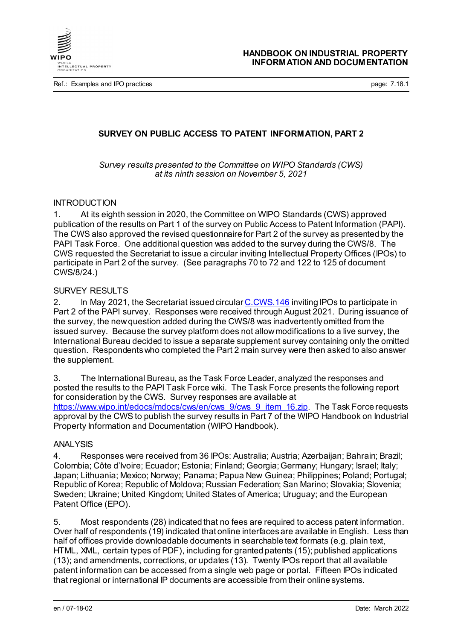

Ref.: Examples and IPO practices **page: 7.18.1** and intervals and intervals are page: 7.18.1

# **SURVEY ON PUBLIC ACCESS TO PATENT INFORMATION, PART 2**

*Survey results presented to the Committee on WIPO Standards (CWS) at its ninth session on November 5, 2021*

#### INTRODUCTION

1. At its eighth session in 2020, the Committee on WIPO Standards (CWS) approved publication of the results on Part 1 of the survey on Public Access to Patent Information (PAPI). The CWS also approved the revised questionnaire for Part 2 of the survey as presented by the PAPI Task Force. One additional question was added to the survey during the CWS/8. The CWS requested the Secretariat to issue a circular inviting Intellectual Property Offices (IPOs) to participate in Part 2 of the survey. (See paragraphs 70 to 72 and 122 to 125 of document CWS/8/24.)

## SURVEY RESULTS

2. In May 2021, the Secretariat issued circula[r C.CWS.146](https://www.wipo.int/cws/en/circulars/) inviting IPOs to participate in Part 2 of the PAPI survey. Responses were received through August 2021. During issuance of the survey, the new question added during the CWS/8 was inadvertently omitted from the issued survey. Because the survey platform does not allow modifications to a live survey, the International Bureau decided to issue a separate supplement survey containing only the omitted question. Respondents who completed the Part 2 main survey were then asked to also answer the supplement.

3. The International Bureau, as the Task Force Leader, analyzed the responses and posted the results to the PAPI Task Force wiki. The Task Force presents the following report for consideration by the CWS. Survey responses are available at [https://www.wipo.int/edocs/mdocs/cws/en/cws\\_9/cws\\_9\\_item\\_16.zip.](https://www.wipo.int/edocs/mdocs/cws/en/cws_9/cws_9_item_16.zip) The Task Force requests approval by the CWS to publish the survey results in Part 7 of the WIPO Handbook on Industrial Property Information and Documentation (WIPO Handbook).

### **ANALYSIS**

4. Responses were received from 36 IPOs: Australia; Austria; Azerbaijan; Bahrain; Brazil; Colombia; Côte d'Ivoire; Ecuador; Estonia; Finland; Georgia; Germany; Hungary; Israel; Italy; Japan; Lithuania; Mexico; Norway; Panama; Papua New Guinea; Philippines; Poland; Portugal; Republic of Korea; Republic of Moldova; Russian Federation; San Marino; Slovakia; Slovenia; Sweden; Ukraine; United Kingdom; United States of America; Uruguay; and the European Patent Office (EPO).

5. Most respondents (28) indicated that no fees are required to access patent information. Over half of respondents (19) indicated that online interfaces are available in English. Less than half of offices provide downloadable documents in searchable text formats (e.g. plain text, HTML, XML, certain types of PDF), including for granted patents (15); published applications (13); and amendments, corrections, or updates (13). Twenty IPOs report that all available patent information can be accessed from a single web page or portal. Fifteen IPOs indicated that regional or international IP documents are accessible from their online systems.